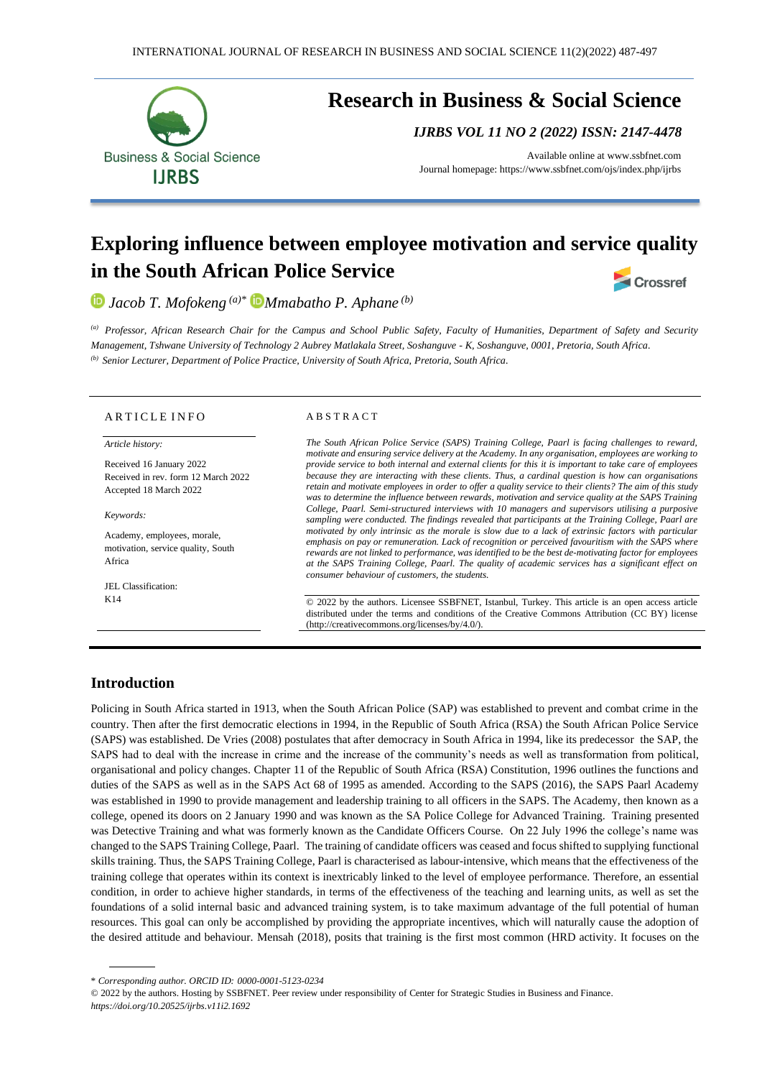

# **Research in Business & Social Science**

*IJRBS VOL 11 NO 2 (2022) ISSN: 2147-4478*

Available online at [www.ssbfnet.com](http://www.ssbfnet.com/) Journal homepage: https://www.ssbfnet.com/ojs/index.php/ijrbs

## **Exploring influence between employee motivation and service quality in the South African Police Service** Crossref

*Jacob T. Mofokeng (a)\* [M](https://orcid.org/0000-000301930-7961)mabatho P. Aphane (b)*

*(a) Professor, African Research Chair for the Campus and School Public Safety, Faculty of Humanities, Department of Safety and Security Management, Tshwane University of Technology 2 Aubrey Matlakala Street, Soshanguve - K, Soshanguve, 0001, Pretoria, South Africa. (b) Senior Lecturer, Department of Police Practice, University of South Africa, Pretoria, South Africa.*

### ARTICLE INFO

*Article history:* 

Received 16 January 2022 Received in rev. form 12 March 2022 Accepted 18 March 2022

*Keywords:*

Academy, employees, morale, motivation, service quality, South Africa

JEL Classification: K14

#### A B S T R A C T

*The South African Police Service (SAPS) Training College, Paarl is facing challenges to reward, motivate and ensuring service delivery at the Academy. In any organisation, employees are working to provide service to both internal and external clients for this it is important to take care of employees because they are interacting with these clients. Thus, a cardinal question is how can organisations retain and motivate employees in order to offer a quality service to their clients? The aim of this study was to determine the influence between rewards, motivation and service quality at the SAPS Training College, Paarl. Semi-structured interviews with 10 managers and supervisors utilising a purposive sampling were conducted. The findings revealed that participants at the Training College, Paarl are motivated by only intrinsic as the morale is slow due to a lack of extrinsic factors with particular emphasis on pay or remuneration. Lack of recognition or perceived favouritism with the SAPS where rewards are not linked to performance, was identified to be the best de-motivating factor for employees at the SAPS Training College, Paarl. The quality of academic services has a significant effect on consumer behaviour of customers, the students.*

© 2022 by the authors. Licensee SSBFNET, Istanbul, Turkey. This article is an open access article distributed under the terms and conditions of the Creative Commons Attribution (CC BY) license (http://creativecommons.org/licenses/by/4.0/).

### **Introduction**

Policing in South Africa started in 1913, when the South African Police (SAP) was established to prevent and combat crime in the country. Then after the first democratic elections in 1994, in the Republic of South Africa (RSA) the South African Police Service (SAPS) was established. De Vries (2008) postulates that after democracy in South Africa in 1994, like its predecessor the SAP, the SAPS had to deal with the increase in crime and the increase of the community's needs as well as transformation from political, organisational and policy changes. Chapter 11 of the Republic of South Africa (RSA) Constitution, 1996 outlines the functions and duties of the SAPS as well as in the SAPS Act 68 of 1995 as amended. According to the SAPS (2016), the SAPS Paarl Academy was established in 1990 to provide management and leadership training to all officers in the SAPS. The Academy, then known as a college, opened its doors on 2 January 1990 and was known as the SA Police College for Advanced Training. Training presented was Detective Training and what was formerly known as the Candidate Officers Course. On 22 July 1996 the college's name was changed to the SAPS Training College, Paarl. The training of candidate officers was ceased and focus shifted to supplying functional skills training. Thus, the SAPS Training College, Paarl is characterised as labour-intensive, which means that the effectiveness of the training college that operates within its context is inextricably linked to the level of employee performance. Therefore, an essential condition, in order to achieve higher standards, in terms of the effectiveness of the teaching and learning units, as well as set the foundations of a solid internal basic and advanced training system, is to take maximum advantage of the full potential of human resources. This goal can only be accomplished by providing the appropriate incentives, which will naturally cause the adoption of the desired attitude and behaviour. Mensah (2018), posits that training is the first most common (HRD activity. It focuses on the

© 2022 by the authors. Hosting by SSBFNET. Peer review under responsibility of Center for Strategic Studies in Business and Finance. *<https://doi.org/10.20525/ijrbs.v11i2.1692>*

<sup>\*</sup> *Corresponding author. ORCID ID: 0000-0001-5123-0234*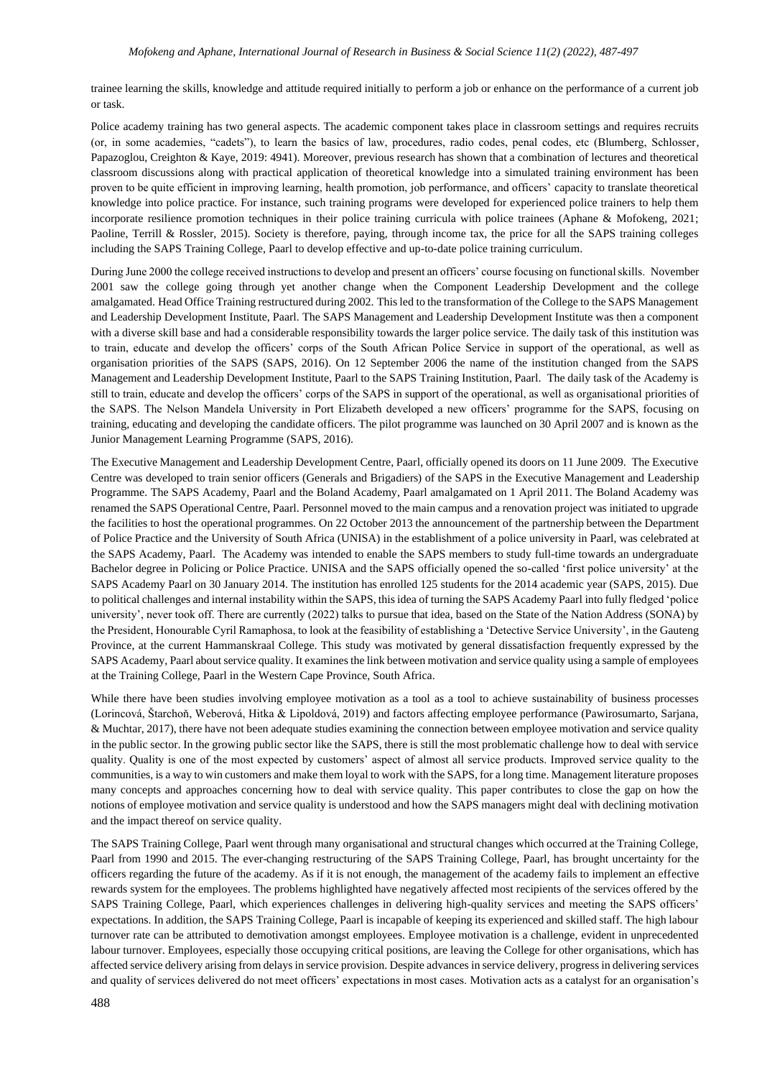trainee learning the skills, knowledge and attitude required initially to perform a job or enhance on the performance of a current job or task.

Police academy training has two general aspects. The academic component takes place in classroom settings and requires recruits (or, in some academies, "cadets"), to learn the basics of law, procedures, radio codes, penal codes, etc (Blumberg, Schlosser, Papazoglou, Creighton & Kaye, 2019: 4941). Moreover, previous research has shown that a combination of lectures and theoretical classroom discussions along with practical application of theoretical knowledge into a simulated training environment has been proven to be quite efficient in improving learning, health promotion, job performance, and officers' capacity to translate theoretical knowledge into police practice. For instance, such training programs were developed for experienced police trainers to help them incorporate resilience promotion techniques in their police training curricula with police trainees (Aphane & Mofokeng, 2021; Paoline, Terrill & Rossler, 2015). Society is therefore, paying, through income tax, the price for all the SAPS training colleges including the SAPS Training College, Paarl to develop effective and up-to-date police training curriculum.

During June 2000 the college received instructions to develop and present an officers' course focusing on functional skills. November 2001 saw the college going through yet another change when the Component Leadership Development and the college amalgamated. Head Office Training restructured during 2002. This led to the transformation of the College to the SAPS Management and Leadership Development Institute, Paarl. The SAPS Management and Leadership Development Institute was then a component with a diverse skill base and had a considerable responsibility towards the larger police service. The daily task of this institution was to train, educate and develop the officers' corps of the South African Police Service in support of the operational, as well as organisation priorities of the SAPS (SAPS, 2016). On 12 September 2006 the name of the institution changed from the SAPS Management and Leadership Development Institute, Paarl to the SAPS Training Institution, Paarl. The daily task of the Academy is still to train, educate and develop the officers' corps of the SAPS in support of the operational, as well as organisational priorities of the SAPS. The Nelson Mandela University in Port Elizabeth developed a new officers' programme for the SAPS, focusing on training, educating and developing the candidate officers. The pilot programme was launched on 30 April 2007 and is known as the Junior Management Learning Programme (SAPS, 2016).

The Executive Management and Leadership Development Centre, Paarl, officially opened its doors on 11 June 2009. The Executive Centre was developed to train senior officers (Generals and Brigadiers) of the SAPS in the Executive Management and Leadership Programme. The SAPS Academy, Paarl and the Boland Academy, Paarl amalgamated on 1 April 2011. The Boland Academy was renamed the SAPS Operational Centre, Paarl. Personnel moved to the main campus and a renovation project was initiated to upgrade the facilities to host the operational programmes. On 22 October 2013 the announcement of the partnership between the Department of Police Practice and the University of South Africa (UNISA) in the establishment of a police university in Paarl, was celebrated at the SAPS Academy, Paarl. The Academy was intended to enable the SAPS members to study full-time towards an undergraduate Bachelor degree in Policing or Police Practice. UNISA and the SAPS officially opened the so-called 'first police university' at the SAPS Academy Paarl on 30 January 2014. The institution has enrolled 125 students for the 2014 academic year (SAPS, 2015). Due to political challenges and internal instability within the SAPS, this idea of turning the SAPS Academy Paarl into fully fledged 'police university', never took off. There are currently (2022) talks to pursue that idea, based on the State of the Nation Address (SONA) by the President, Honourable Cyril Ramaphosa, to look at the feasibility of establishing a 'Detective Service University', in the Gauteng Province, at the current Hammanskraal College. This study was motivated by general dissatisfaction frequently expressed by the SAPS Academy, Paarl about service quality. It examines the link between motivation and service quality using a sample of employees at the Training College, Paarl in the Western Cape Province, South Africa.

While there have been studies involving employee motivation as a tool as a tool to achieve sustainability of business processes (Lorincová, Štarchoň, Weberová, Hitka & Lipoldová, 2019) and factors affecting employee performance (Pawirosumarto, Sarjana, & Muchtar, 2017), there have not been adequate studies examining the connection between employee motivation and service quality in the public sector. In the growing public sector like the SAPS, there is still the most problematic challenge how to deal with service quality. Quality is one of the most expected by customers' aspect of almost all service products. Improved service quality to the communities, is a way to win customers and make them loyal to work with the SAPS, for a long time. Management literature proposes many concepts and approaches concerning how to deal with service quality. This paper contributes to close the gap on how the notions of employee motivation and service quality is understood and how the SAPS managers might deal with declining motivation and the impact thereof on service quality.

The SAPS Training College, Paarl went through many organisational and structural changes which occurred at the Training College, Paarl from 1990 and 2015. The ever-changing restructuring of the SAPS Training College, Paarl, has brought uncertainty for the officers regarding the future of the academy. As if it is not enough, the management of the academy fails to implement an effective rewards system for the employees. The problems highlighted have negatively affected most recipients of the services offered by the SAPS Training College, Paarl, which experiences challenges in delivering high-quality services and meeting the SAPS officers' expectations. In addition, the SAPS Training College, Paarl is incapable of keeping its experienced and skilled staff. The high labour turnover rate can be attributed to demotivation amongst employees. Employee motivation is a challenge, evident in unprecedented labour turnover. Employees, especially those occupying critical positions, are leaving the College for other organisations, which has affected service delivery arising from delays in service provision. Despite advances in service delivery, progress in delivering services and quality of services delivered do not meet officers' expectations in most cases. Motivation acts as a catalyst for an organisation's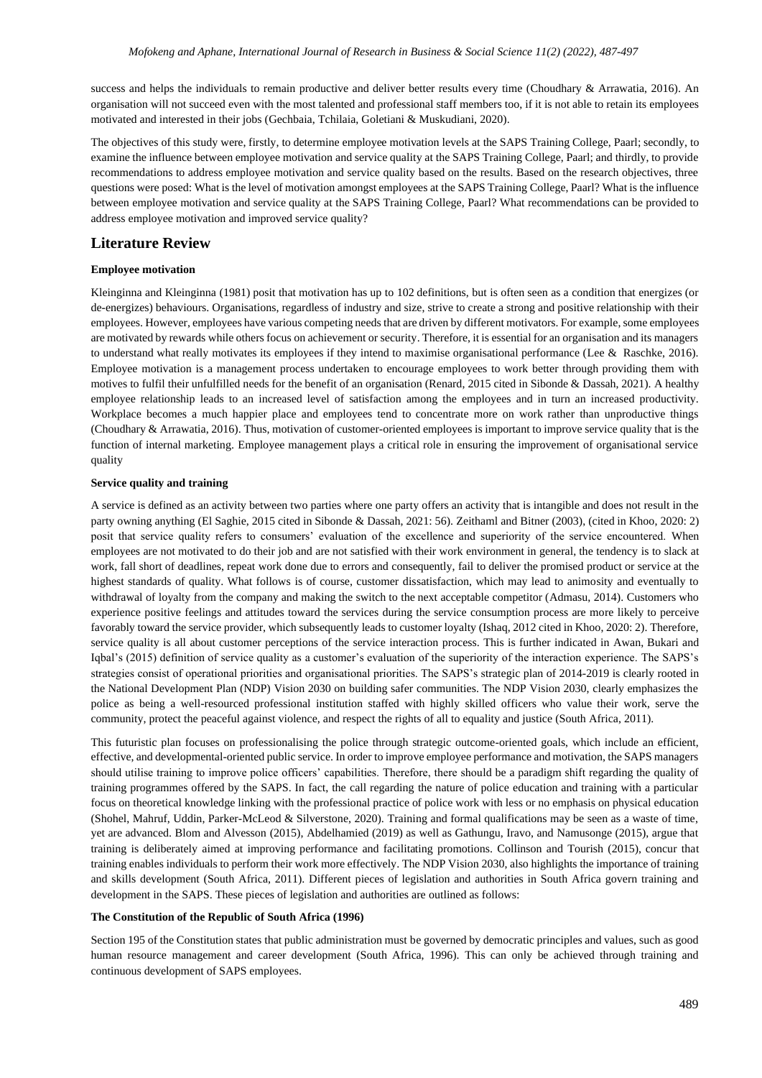success and helps the individuals to remain productive and deliver better results every time (Choudhary & Arrawatia, 2016). An organisation will not succeed even with the most talented and professional staff members too, if it is not able to retain its employees motivated and interested in their jobs (Gechbaia, Tchilaia, Goletiani & Muskudiani, 2020).

The objectives of this study were, firstly, to determine employee motivation levels at the SAPS Training College, Paarl; secondly, to examine the influence between employee motivation and service quality at the SAPS Training College, Paarl; and thirdly, to provide recommendations to address employee motivation and service quality based on the results. Based on the research objectives, three questions were posed: What is the level of motivation amongst employees at the SAPS Training College, Paarl? What is the influence between employee motivation and service quality at the SAPS Training College, Paarl? What recommendations can be provided to address employee motivation and improved service quality?

### **Literature Review**

#### **Employee motivation**

Kleinginna and Kleinginna [\(1981\)](https://link.springer.com/article/10.1007/s10648-021-09616-7#ref-CR96) posit that motivation has up to 102 definitions, but is often seen as a condition that energizes (or de-energizes) behaviours. Organisations, regardless of industry and size, strive to create a strong and positive relationship with their employees. However, employees have various competing needs that are driven by different motivators. For example, some employees are motivated by rewards while others focus on achievement or security. Therefore, it is essential for an organisation and its managers to understand what really motivates its employees if they intend to maximise organisational performance (Lee & Raschke, 2016). Employee motivation is a management process undertaken to encourage employees to work better through providing them with motives to fulfil their unfulfilled needs for the benefit of an organisation (Renard, 2015 cited in Sibonde & Dassah, 2021). A healthy employee relationship leads to an increased level of satisfaction among the employees and in turn an increased productivity. Workplace becomes a much happier place and employees tend to concentrate more on work rather than unproductive things (Choudhary & Arrawatia, 2016). Thus, motivation of customer-oriented employees is important to improve service quality that is the function of internal marketing. Employee management plays a critical role in ensuring the improvement of organisational service quality

### **Service quality and training**

A service is defined as an activity between two parties where one party offers an activity that is intangible and does not result in the party owning anything (El Saghie, 2015 cited in Sibonde & Dassah, 2021: 56). Zeithaml and Bitner (2003), (cited in Khoo, 2020: 2) posit that service quality refers to consumers' evaluation of the excellence and superiority of the service encountered. When employees are not motivated to do their job and are not satisfied with their work environment in general, the tendency is to slack at work, fall short of deadlines, repeat work done due to errors and consequently, fail to deliver the promised product or service at the highest standards of quality. What follows is of course, customer dissatisfaction, which may lead to animosity and eventually to withdrawal of loyalty from the company and making the switch to the next acceptable competitor (Admasu, 2014). Customers who experience positive feelings and attitudes toward the services during the service consumption process are more likely to perceive favorably toward the service provider, which subsequently leads to customer loyalty (Ishaq, 2012 cited in Khoo, 2020: 2). Therefore, service quality is all about customer perceptions of the service interaction process. This is further indicated in Awan, Bukari and Iqbal's (2015) definition of service quality as a customer's evaluation of the superiority of the interaction experience. The SAPS's strategies consist of operational priorities and organisational priorities. The SAPS's strategic plan of 2014-2019 is clearly rooted in the National Development Plan (NDP) Vision 2030 on building safer communities. The NDP Vision 2030, clearly emphasizes the police as being a well-resourced professional institution staffed with highly skilled officers who value their work, serve the community, protect the peaceful against violence, and respect the rights of all to equality and justice (South Africa, 2011).

This futuristic plan focuses on professionalising the police through strategic outcome-oriented goals, which include an efficient, effective, and developmental-oriented public service. In order to improve employee performance and motivation, the SAPS managers should utilise training to improve police officers' capabilities. Therefore, there should be a paradigm shift regarding the quality of training programmes offered by the SAPS. In fact, the call regarding the nature of police education and training with a particular focus on theoretical knowledge linking with the professional practice of police work with less or no emphasis on physical education (Shohel, Mahruf, Uddin, Parker-McLeod & Silverstone, 2020). Training and formal qualifications may be seen as a waste of time, yet are advanced. Blom and Alvesson (2015), Abdelhamied (2019) as well as Gathungu, Iravo, and Namusonge (2015), argue that training is deliberately aimed at improving performance and facilitating promotions. Collinson and Tourish (2015), concur that training enables individuals to perform their work more effectively. The NDP Vision 2030, also highlights the importance of training and skills development (South Africa, 2011). Different pieces of legislation and authorities in South Africa govern training and development in the SAPS. These pieces of legislation and authorities are outlined as follows:

### **The Constitution of the Republic of South Africa (1996)**

Section 195 of the Constitution states that public administration must be governed by democratic principles and values, such as good human resource management and career development (South Africa, 1996). This can only be achieved through training and continuous development of SAPS employees.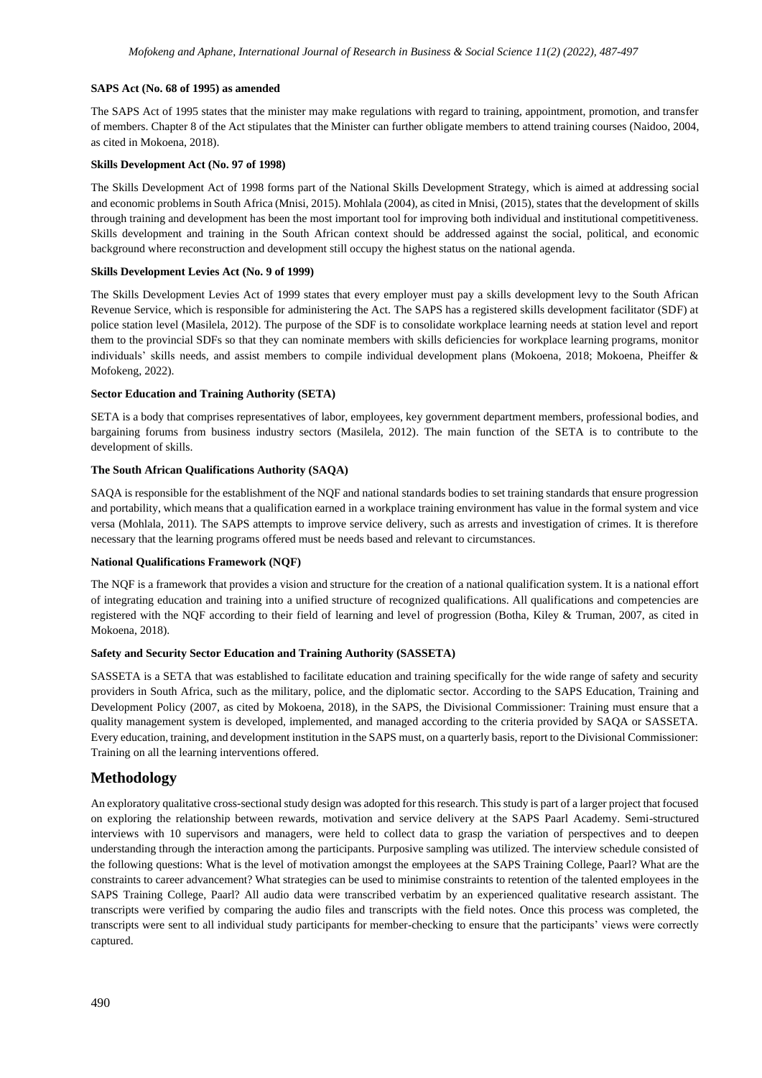### **SAPS Act (No. 68 of 1995) as amended**

The SAPS Act of 1995 states that the minister may make regulations with regard to training, appointment, promotion, and transfer of members. Chapter 8 of the Act stipulates that the Minister can further obligate members to attend training courses (Naidoo, 2004, as cited in Mokoena, 2018).

### **Skills Development Act (No. 97 of 1998)**

The Skills Development Act of 1998 forms part of the National Skills Development Strategy, which is aimed at addressing social and economic problems in South Africa (Mnisi, 2015). Mohlala (2004), as cited in Mnisi, (2015), states that the development of skills through training and development has been the most important tool for improving both individual and institutional competitiveness. Skills development and training in the South African context should be addressed against the social, political, and economic background where reconstruction and development still occupy the highest status on the national agenda.

### **Skills Development Levies Act (No. 9 of 1999)**

The Skills Development Levies Act of 1999 states that every employer must pay a skills development levy to the South African Revenue Service, which is responsible for administering the Act. The SAPS has a registered skills development facilitator (SDF) at police station level (Masilela, 2012). The purpose of the SDF is to consolidate workplace learning needs at station level and report them to the provincial SDFs so that they can nominate members with skills deficiencies for workplace learning programs, monitor individuals' skills needs, and assist members to compile individual development plans (Mokoena, 2018; Mokoena, Pheiffer & Mofokeng, 2022).

### **Sector Education and Training Authority (SETA)**

SETA is a body that comprises representatives of labor, employees, key government department members, professional bodies, and bargaining forums from business industry sectors (Masilela, 2012). The main function of the SETA is to contribute to the development of skills.

### **The South African Qualifications Authority (SAQA)**

SAQA is responsible for the establishment of the NQF and national standards bodies to set training standards that ensure progression and portability, which means that a qualification earned in a workplace training environment has value in the formal system and vice versa (Mohlala, 2011). The SAPS attempts to improve service delivery, such as arrests and investigation of crimes. It is therefore necessary that the learning programs offered must be needs based and relevant to circumstances.

### **National Qualifications Framework (NQF)**

The NQF is a framework that provides a vision and structure for the creation of a national qualification system. It is a national effort of integrating education and training into a unified structure of recognized qualifications. All qualifications and competencies are registered with the NQF according to their field of learning and level of progression (Botha, Kiley & Truman, 2007, as cited in Mokoena, 2018).

### **Safety and Security Sector Education and Training Authority (SASSETA)**

SASSETA is a SETA that was established to facilitate education and training specifically for the wide range of safety and security providers in South Africa, such as the military, police, and the diplomatic sector. According to the SAPS Education, Training and Development Policy (2007, as cited by Mokoena, 2018), in the SAPS, the Divisional Commissioner: Training must ensure that a quality management system is developed, implemented, and managed according to the criteria provided by SAQA or SASSETA. Every education, training, and development institution in the SAPS must, on a quarterly basis, report to the Divisional Commissioner: Training on all the learning interventions offered.

### **Methodology**

An exploratory qualitative cross-sectional study design was adopted for this research. This study is part of a larger project that focused on exploring the relationship between rewards, motivation and service delivery at the SAPS Paarl Academy. Semi-structured interviews with 10 supervisors and managers, were held to collect data to grasp the variation of perspectives and to deepen understanding through the interaction among the participants. Purposive sampling was utilized. The interview schedule consisted of the following questions: What is the level of motivation amongst the employees at the SAPS Training College, Paarl? What are the constraints to career advancement? What strategies can be used to minimise constraints to retention of the talented employees in the SAPS Training College, Paarl? All audio data were transcribed verbatim by an experienced qualitative research assistant. The transcripts were verified by comparing the audio files and transcripts with the field notes. Once this process was completed, the transcripts were sent to all individual study participants for member-checking to ensure that the participants' views were correctly captured.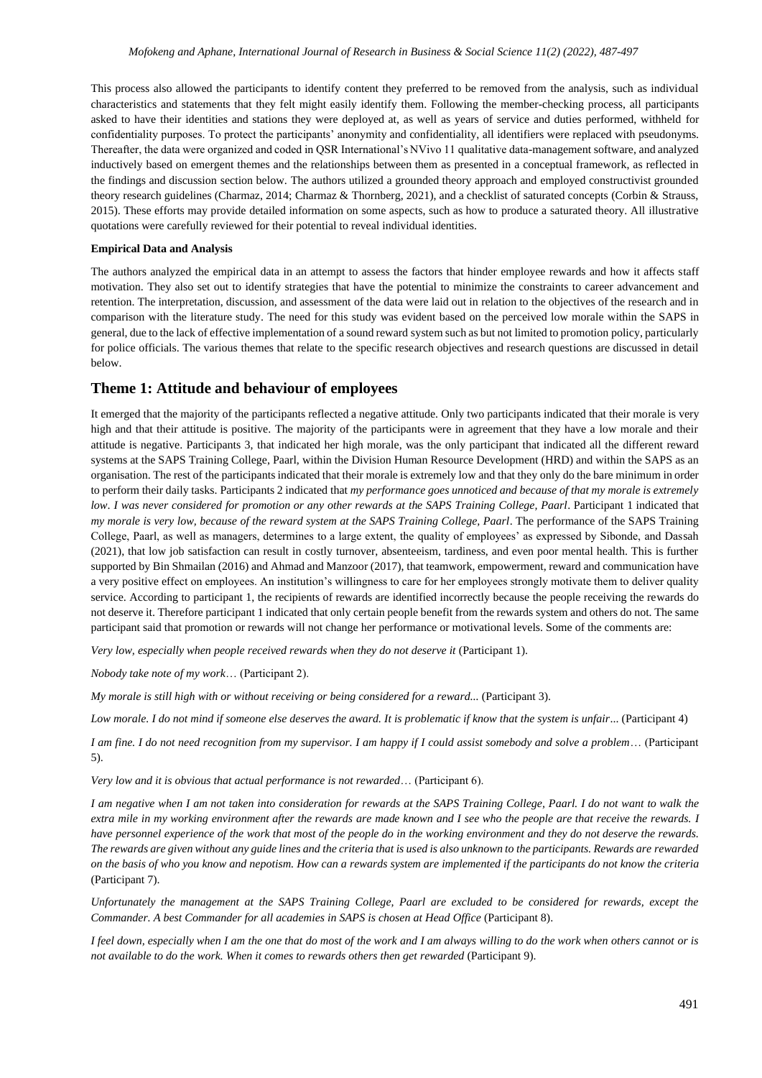This process also allowed the participants to identify content they preferred to be removed from the analysis, such as individual characteristics and statements that they felt might easily identify them. Following the member-checking process, all participants asked to have their identities and stations they were deployed at, as well as years of service and duties performed, withheld for confidentiality purposes. To protect the participants' anonymity and confidentiality, all identifiers were replaced with pseudonyms. Thereafter, the data were organized and coded in QSR International's NVivo 11 qualitative data-management software, and analyzed inductively based on emergent themes and the relationships between them as presented in a conceptual framework, as reflected in the findings and discussion section below. The authors utilized a grounded theory approach and employed constructivist grounded theory research guidelines (Charmaz, 2014; Charmaz & Thornberg, 2021), and a checklist of saturated concepts (Corbin & Strauss, 2015). These efforts may provide detailed information on some aspects, such as how to produce a saturated theory. All illustrative quotations were carefully reviewed for their potential to reveal individual identities.

### **Empirical Data and Analysis**

The authors analyzed the empirical data in an attempt to assess the factors that hinder employee rewards and how it affects staff motivation. They also set out to identify strategies that have the potential to minimize the constraints to career advancement and retention. The interpretation, discussion, and assessment of the data were laid out in relation to the objectives of the research and in comparison with the literature study. The need for this study was evident based on the perceived low morale within the SAPS in general, due to the lack of effective implementation of a sound reward system such as but not limited to promotion policy, particularly for police officials. The various themes that relate to the specific research objectives and research questions are discussed in detail below.

### **Theme 1: Attitude and behaviour of employees**

It emerged that the majority of the participants reflected a negative attitude. Only two participants indicated that their morale is very high and that their attitude is positive. The majority of the participants were in agreement that they have a low morale and their attitude is negative. Participants 3, that indicated her high morale, was the only participant that indicated all the different reward systems at the SAPS Training College, Paarl, within the Division Human Resource Development (HRD) and within the SAPS as an organisation. The rest of the participants indicated that their morale is extremely low and that they only do the bare minimum in order to perform their daily tasks. Participants 2 indicated that *my performance goes unnoticed and because of that my morale is extremely low*. *I was never considered for promotion or any other rewards at the SAPS Training College, Paarl*. Participant 1 indicated that *my morale is very low, because of the reward system at the SAPS Training College, Paarl*. The performance of the SAPS Training College, Paarl, as well as managers, determines to a large extent, the quality of employees' as expressed by Sibonde, and Dassah (2021), that low job satisfaction can result in costly turnover, absenteeism, tardiness, and even poor mental health. This is further supported by Bin Shmailan (2016) and Ahmad and Manzoor (2017), that teamwork, empowerment, reward and communication have a very positive effect on employees. An institution's willingness to care for her employees strongly motivate them to deliver quality service. According to participant 1, the recipients of rewards are identified incorrectly because the people receiving the rewards do not deserve it. Therefore participant 1 indicated that only certain people benefit from the rewards system and others do not. The same participant said that promotion or rewards will not change her performance or motivational levels. Some of the comments are:

*Very low, especially when people received rewards when they do not deserve it (Participant 1).* 

*Nobody take note of my work*… (Participant 2).

*My morale is still high with or without receiving or being considered for a reward...* (Participant 3).

*Low morale. I do not mind if someone else deserves the award. It is problematic if know that the system is unfair... (Participant 4)* 

*I am fine. I do not need recognition from my supervisor. I am happy if I could assist somebody and solve a problem*… (Participant 5).

*Very low and it is obvious that actual performance is not rewarded*… (Participant 6).

*I am negative when I am not taken into consideration for rewards at the SAPS Training College, Paarl. I do not want to walk the extra mile in my working environment after the rewards are made known and I see who the people are that receive the rewards. I have personnel experience of the work that most of the people do in the working environment and they do not deserve the rewards. The rewards are given without any guide lines and the criteria that is used is also unknown to the participants. Rewards are rewarded on the basis of who you know and nepotism. How can a rewards system are implemented if the participants do not know the criteria*  (Participant 7).

*Unfortunately the management at the SAPS Training College, Paarl are excluded to be considered for rewards, except the Commander. A best Commander for all academies in SAPS is chosen at Head Office* (Participant 8).

*I feel down, especially when I am the one that do most of the work and I am always willing to do the work when others cannot or is not available to do the work. When it comes to rewards others then get rewarded* (Participant 9).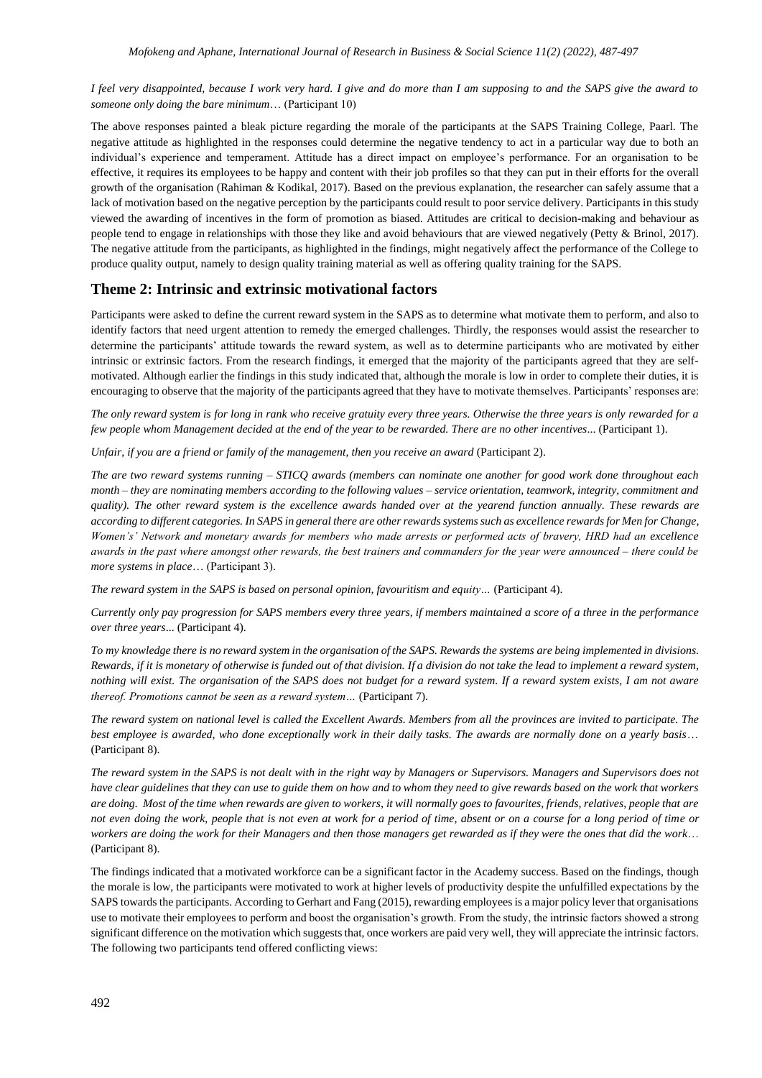### *I feel very disappointed, because I work very hard. I give and do more than I am supposing to and the SAPS give the award to someone only doing the bare minimum*… (Participant 10)

The above responses painted a bleak picture regarding the morale of the participants at the SAPS Training College, Paarl. The negative attitude as highlighted in the responses could determine the negative tendency to act in a particular way due to both an individual's experience and temperament. Attitude has a direct impact on employee's performance. For an organisation to be effective, it requires its employees to be happy and content with their job profiles so that they can put in their efforts for the overall growth of the organisation (Rahiman & Kodikal, 2017). Based on the previous explanation, the researcher can safely assume that a lack of motivation based on the negative perception by the participants could result to poor service delivery. Participants in this study viewed the awarding of incentives in the form of promotion as biased. Attitudes are critical to decision-making and behaviour as people tend to engage in relationships with those they like and avoid behaviours that are viewed negatively (Petty & Brinol, 2017). The negative attitude from the participants, as highlighted in the findings, might negatively affect the performance of the College to produce quality output, namely to design quality training material as well as offering quality training for the SAPS.

### **Theme 2: Intrinsic and extrinsic motivational factors**

Participants were asked to define the current reward system in the SAPS as to determine what motivate them to perform, and also to identify factors that need urgent attention to remedy the emerged challenges. Thirdly, the responses would assist the researcher to determine the participants' attitude towards the reward system, as well as to determine participants who are motivated by either intrinsic or extrinsic factors. From the research findings, it emerged that the majority of the participants agreed that they are selfmotivated. Although earlier the findings in this study indicated that, although the morale is low in order to complete their duties, it is encouraging to observe that the majority of the participants agreed that they have to motivate themselves. Participants' responses are:

*The only reward system is for long in rank who receive gratuity every three years. Otherwise the three years is only rewarded for a few people whom Management decided at the end of the year to be rewarded. There are no other incentives*... (Participant 1).

*Unfair, if you are a friend or family of the management, then you receive an award* (Participant 2).

*The are two reward systems running – STICQ awards (members can nominate one another for good work done throughout each month – they are nominating members according to the following values – service orientation, teamwork, integrity, commitment and quality). The other reward system is the excellence awards handed over at the yearend function annually. These rewards are according to different categories. In SAPS in general there are other rewards systems such as excellence rewards for Men for Change, Women's' Network and monetary awards for members who made arrests or performed acts of bravery, HRD had an excellence awards in the past where amongst other rewards, the best trainers and commanders for the year were announced ‒ there could be more systems in place*… (Participant 3).

*The reward system in the SAPS is based on personal opinion, favouritism and equity…* (Participant 4).

*Currently only pay progression for SAPS members every three years, if members maintained a score of a three in the performance over three years*... (Participant 4).

*To my knowledge there is no reward system in the organisation of the SAPS. Rewards the systems are being implemented in divisions. Rewards, if it is monetary of otherwise is funded out of that division. If a division do not take the lead to implement a reward system, nothing will exist. The organisation of the SAPS does not budget for a reward system. If a reward system exists, I am not aware thereof. Promotions cannot be seen as a reward system…* (Participant 7).

*The reward system on national level is called the Excellent Awards. Members from all the provinces are invited to participate. The best employee is awarded, who done exceptionally work in their daily tasks. The awards are normally done on a yearly basis*… (Participant 8).

*The reward system in the SAPS is not dealt with in the right way by Managers or Supervisors. Managers and Supervisors does not have clear guidelines that they can use to guide them on how and to whom they need to give rewards based on the work that workers are doing. Most of the time when rewards are given to workers, it will normally goes to favourites, friends, relatives, people that are not even doing the work, people that is not even at work for a period of time, absent or on a course for a long period of time or workers are doing the work for their Managers and then those managers get rewarded as if they were the ones that did the work*… (Participant 8).

The findings indicated that a motivated workforce can be a significant factor in the Academy success. Based on the findings, though the morale is low, the participants were motivated to work at higher levels of productivity despite the unfulfilled expectations by the SAPS towards the participants. According to Gerhart and Fang (2015), rewarding employees is a major policy lever that organisations use to motivate their employees to perform and boost the organisation's growth. From the study, the intrinsic factors showed a strong significant difference on the motivation which suggests that, once workers are paid very well, they will appreciate the intrinsic factors. The following two participants tend offered conflicting views: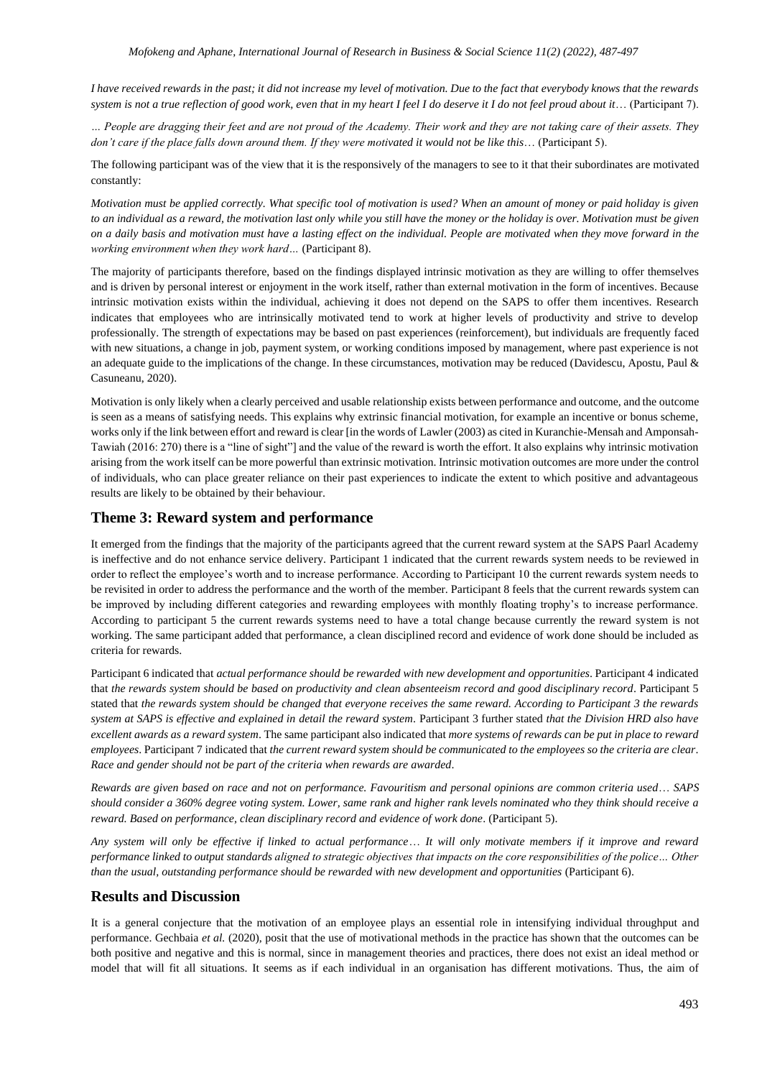*I have received rewards in the past; it did not increase my level of motivation. Due to the fact that everybody knows that the rewards system is not a true reflection of good work, even that in my heart I feel I do deserve it I do not feel proud about it*… (Participant 7).

*… People are dragging their feet and are not proud of the Academy. Their work and they are not taking care of their assets. They don't care if the place falls down around them. If they were motivated it would not be like this*… (Participant 5).

The following participant was of the view that it is the responsively of the managers to see to it that their subordinates are motivated constantly:

*Motivation must be applied correctly. What specific tool of motivation is used? When an amount of money or paid holiday is given to an individual as a reward, the motivation last only while you still have the money or the holiday is over. Motivation must be given on a daily basis and motivation must have a lasting effect on the individual. People are motivated when they move forward in the working environment when they work hard…* (Participant 8).

The majority of participants therefore, based on the findings displayed intrinsic motivation as they are willing to offer themselves and is driven by personal interest or enjoyment in the work itself, rather than external motivation in the form of incentives. Because intrinsic motivation exists within the individual, achieving it does not depend on the SAPS to offer them incentives. Research indicates that employees who are intrinsically motivated tend to work at higher levels of productivity and strive to develop professionally. The strength of expectations may be based on past experiences (reinforcement), but individuals are frequently faced with new situations, a change in job, payment system, or working conditions imposed by management, where past experience is not an adequate guide to the implications of the change. In these circumstances, motivation may be reduced (Davidescu, Apostu, Paul & Casuneanu, 2020).

Motivation is only likely when a clearly perceived and usable relationship exists between performance and outcome, and the outcome is seen as a means of satisfying needs. This explains why extrinsic financial motivation, for example an incentive or bonus scheme, works only if the link between effort and reward is clear [in the words of Lawler (2003) as cited in Kuranchie-Mensah and Amponsah-Tawiah (2016: 270) there is a "line of sight"] and the value of the reward is worth the effort. It also explains why intrinsic motivation arising from the work itself can be more powerful than extrinsic motivation. Intrinsic motivation outcomes are more under the control of individuals, who can place greater reliance on their past experiences to indicate the extent to which positive and advantageous results are likely to be obtained by their behaviour.

### **Theme 3: Reward system and performance**

It emerged from the findings that the majority of the participants agreed that the current reward system at the SAPS Paarl Academy is ineffective and do not enhance service delivery. Participant 1 indicated that the current rewards system needs to be reviewed in order to reflect the employee's worth and to increase performance. According to Participant 10 the current rewards system needs to be revisited in order to address the performance and the worth of the member. Participant 8 feels that the current rewards system can be improved by including different categories and rewarding employees with monthly floating trophy's to increase performance. According to participant 5 the current rewards systems need to have a total change because currently the reward system is not working. The same participant added that performance, a clean disciplined record and evidence of work done should be included as criteria for rewards.

Participant 6 indicated that *actual performance should be rewarded with new development and opportunities*. Participant 4 indicated that *the rewards system should be based on productivity and clean absenteeism record and good disciplinary record*. Participant 5 stated that *the rewards system should be changed that everyone receives the same reward. According to Participant 3 the rewards system at SAPS is effective and explained in detail the reward system*. Participant 3 further stated *that the Division HRD also have excellent awards as a reward system*. The same participant also indicated that *more systems of rewards can be put in place to reward employees*. Participant 7 indicated that *the current reward system should be communicated to the employees so the criteria are clear*. *Race and gender should not be part of the criteria when rewards are awarded*.

*Rewards are given based on race and not on performance. Favouritism and personal opinions are common criteria used*… *SAPS should consider a 360% degree voting system. Lower, same rank and higher rank levels nominated who they think should receive a reward. Based on performance, clean disciplinary record and evidence of work done*. (Participant 5).

*Any system will only be effective if linked to actual performance*… *It will only motivate members if it improve and reward performance linked to output standards aligned to strategic objectives that impacts on the core responsibilities of the police… Other than the usual, outstanding performance should be rewarded with new development and opportunities (Participant 6).* 

### **Results and Discussion**

It is a general conjecture that the motivation of an employee plays an essential role in intensifying individual throughput and performance. Gechbaia *et al.* (2020), posit that the use of motivational methods in the practice has shown that the outcomes can be both positive and negative and this is normal, since in management theories and practices, there does not exist an ideal method or model that will fit all situations. It seems as if each individual in an organisation has different motivations. Thus, the aim of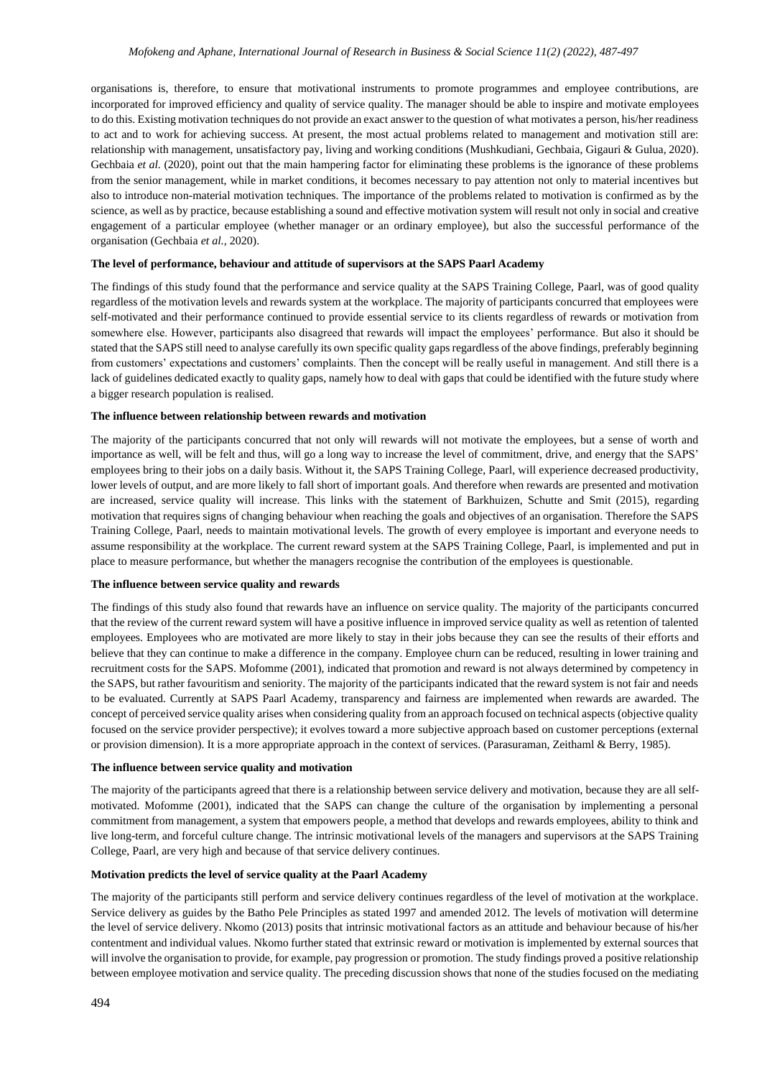organisations is, therefore, to ensure that motivational instruments to promote programmes and employee contributions, are incorporated for improved efficiency and quality of service quality. The manager should be able to inspire and motivate employees to do this. Existing motivation techniques do not provide an exact answer to the question of what motivates a person, his/her readiness to act and to work for achieving success. At present, the most actual problems related to management and motivation still are: relationship with management, unsatisfactory pay, living and working conditions (Mushkudiani, Gechbaia, Gigauri & Gulua, 2020). Gechbaia *et al.* (2020), point out that the main hampering factor for eliminating these problems is the ignorance of these problems from the senior management, while in market conditions, it becomes necessary to pay attention not only to material incentives but also to introduce non-material motivation techniques. The importance of the problems related to motivation is confirmed as by the science, as well as by practice, because establishing a sound and effective motivation system will result not only in social and creative engagement of a particular employee (whether manager or an ordinary employee), but also the successful performance of the organisation (Gechbaia *et al.,* 2020).

#### **The level of performance, behaviour and attitude of supervisors at the SAPS Paarl Academy**

The findings of this study found that the performance and service quality at the SAPS Training College, Paarl, was of good quality regardless of the motivation levels and rewards system at the workplace. The majority of participants concurred that employees were self-motivated and their performance continued to provide essential service to its clients regardless of rewards or motivation from somewhere else. However, participants also disagreed that rewards will impact the employees' performance. But also it should be stated that the SAPS still need to analyse carefully its own specific quality gaps regardless of the above findings, preferably beginning from customers' expectations and customers' complaints. Then the concept will be really useful in management. And still there is a lack of guidelines dedicated exactly to quality gaps, namely how to deal with gaps that could be identified with the future study where a bigger research population is realised.

### **The influence between relationship between rewards and motivation**

The majority of the participants concurred that not only will rewards will not motivate the employees, but a sense of worth and importance as well, will be felt and thus, will go a long way to increase the level of commitment, drive, and energy that the SAPS' employees bring to their jobs on a daily basis. Without it, the SAPS Training College, Paarl, will experience decreased productivity, lower levels of output, and are more likely to fall short of important goals. And therefore when rewards are presented and motivation are increased, service quality will increase. This links with the statement of Barkhuizen, Schutte and Smit (2015), regarding motivation that requires signs of changing behaviour when reaching the goals and objectives of an organisation. Therefore the SAPS Training College, Paarl, needs to maintain motivational levels. The growth of every employee is important and everyone needs to assume responsibility at the workplace. The current reward system at the SAPS Training College, Paarl, is implemented and put in place to measure performance, but whether the managers recognise the contribution of the employees is questionable.

#### **The influence between service quality and rewards**

The findings of this study also found that rewards have an influence on service quality. The majority of the participants concurred that the review of the current reward system will have a positive influence in improved service quality as well as retention of talented employees. Employees who are motivated are more likely to stay in their jobs because they can see the results of their efforts and believe that they can continue to make a difference in the company. Employee churn can be reduced, resulting in lower training and recruitment costs for the SAPS. Mofomme (2001), indicated that promotion and reward is not always determined by competency in the SAPS, but rather favouritism and seniority. The majority of the participants indicated that the reward system is not fair and needs to be evaluated. Currently at SAPS Paarl Academy, transparency and fairness are implemented when rewards are awarded. The concept of perceived service quality arises when considering quality from an approach focused on technical aspects (objective quality focused on the service provider perspective); it evolves toward a more subjective approach based on customer perceptions (external or provision dimension). It is a more appropriate approach in the context of services. (Parasuraman, Zeithaml & Berry, 1985).

#### **The influence between service quality and motivation**

The majority of the participants agreed that there is a relationship between service delivery and motivation, because they are all selfmotivated. Mofomme (2001), indicated that the SAPS can change the culture of the organisation by implementing a personal commitment from management, a system that empowers people, a method that develops and rewards employees, ability to think and live long-term, and forceful culture change. The intrinsic motivational levels of the managers and supervisors at the SAPS Training College, Paarl, are very high and because of that service delivery continues.

### **Motivation predicts the level of service quality at the Paarl Academy**

The majority of the participants still perform and service delivery continues regardless of the level of motivation at the workplace. Service delivery as guides by the Batho Pele Principles as stated 1997 and amended 2012. The levels of motivation will determine the level of service delivery. Nkomo (2013) posits that intrinsic motivational factors as an attitude and behaviour because of his/her contentment and individual values. Nkomo further stated that extrinsic reward or motivation is implemented by external sources that will involve the organisation to provide, for example, pay progression or promotion. The study findings proved a positive relationship between employee motivation and service quality. The preceding discussion shows that none of the studies focused on the mediating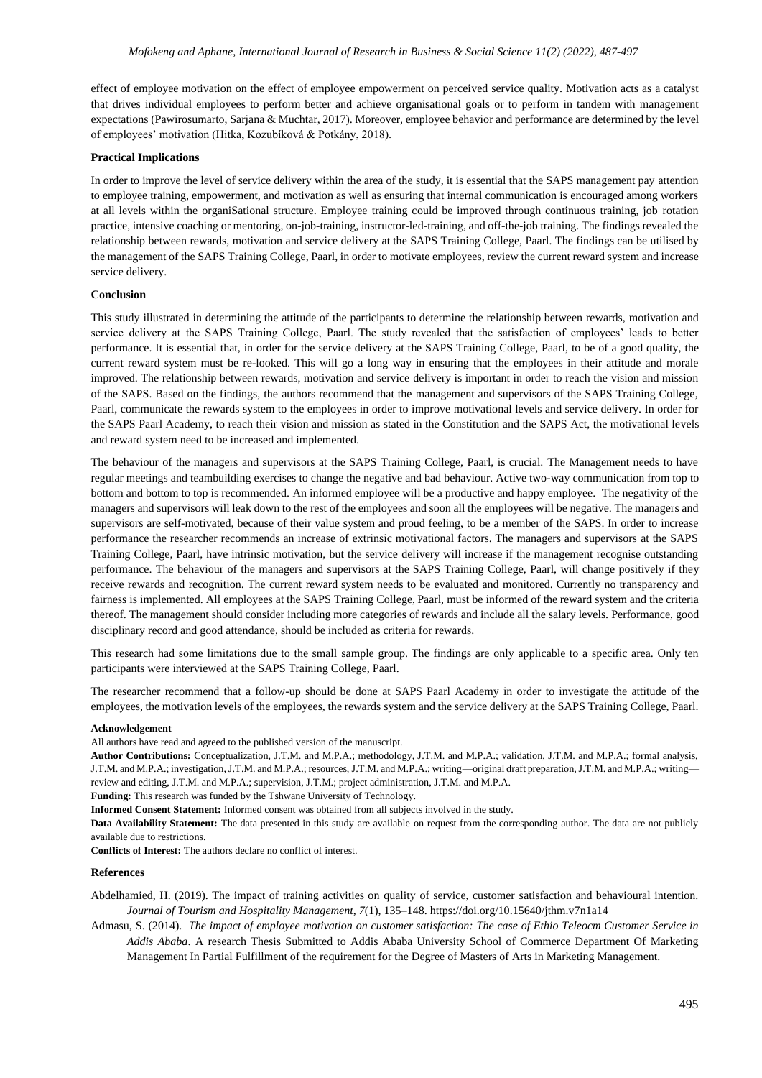effect of employee motivation on the effect of employee empowerment on perceived service quality. Motivation acts as a catalyst that drives individual employees to perform better and achieve organisational goals or to perform in tandem with management expectations (Pawirosumarto, Sarjana & Muchtar, 2017). Moreover, employee behavior and performance are determined by the level of employees' motivation (Hitka, Kozubíková & Potkány, 2018).

### **Practical Implications**

In order to improve the level of service delivery within the area of the study, it is essential that the SAPS management pay attention to employee training, empowerment, and motivation as well as ensuring that internal communication is encouraged among workers at all levels within the organiSational structure. Employee training could be improved through continuous training, job rotation practice, intensive coaching or mentoring, on-job-training, instructor-led-training, and off-the-job training. The findings revealed the relationship between rewards, motivation and service delivery at the SAPS Training College, Paarl. The findings can be utilised by the management of the SAPS Training College, Paarl, in order to motivate employees, review the current reward system and increase service delivery.

### **Conclusion**

This study illustrated in determining the attitude of the participants to determine the relationship between rewards, motivation and service delivery at the SAPS Training College, Paarl. The study revealed that the satisfaction of employees' leads to better performance. It is essential that, in order for the service delivery at the SAPS Training College, Paarl, to be of a good quality, the current reward system must be re-looked. This will go a long way in ensuring that the employees in their attitude and morale improved. The relationship between rewards, motivation and service delivery is important in order to reach the vision and mission of the SAPS. Based on the findings, the authors recommend that the management and supervisors of the SAPS Training College, Paarl, communicate the rewards system to the employees in order to improve motivational levels and service delivery. In order for the SAPS Paarl Academy, to reach their vision and mission as stated in the Constitution and the SAPS Act, the motivational levels and reward system need to be increased and implemented.

The behaviour of the managers and supervisors at the SAPS Training College, Paarl, is crucial. The Management needs to have regular meetings and teambuilding exercises to change the negative and bad behaviour. Active two-way communication from top to bottom and bottom to top is recommended. An informed employee will be a productive and happy employee. The negativity of the managers and supervisors will leak down to the rest of the employees and soon all the employees will be negative. The managers and supervisors are self-motivated, because of their value system and proud feeling, to be a member of the SAPS. In order to increase performance the researcher recommends an increase of extrinsic motivational factors. The managers and supervisors at the SAPS Training College, Paarl, have intrinsic motivation, but the service delivery will increase if the management recognise outstanding performance. The behaviour of the managers and supervisors at the SAPS Training College, Paarl, will change positively if they receive rewards and recognition. The current reward system needs to be evaluated and monitored. Currently no transparency and fairness is implemented. All employees at the SAPS Training College, Paarl, must be informed of the reward system and the criteria thereof. The management should consider including more categories of rewards and include all the salary levels. Performance, good disciplinary record and good attendance, should be included as criteria for rewards.

This research had some limitations due to the small sample group. The findings are only applicable to a specific area. Only ten participants were interviewed at the SAPS Training College, Paarl.

The researcher recommend that a follow-up should be done at SAPS Paarl Academy in order to investigate the attitude of the employees, the motivation levels of the employees, the rewards system and the service delivery at the SAPS Training College, Paarl.

#### **Acknowledgement**

All authors have read and agreed to the published version of the manuscript.

**Author Contributions:** Conceptualization, J.T.M. and M.P.A.; methodology, J.T.M. and M.P.A.; validation, J.T.M. and M.P.A.; formal analysis, J.T.M. and M.P.A.; investigation, J.T.M. and M.P.A.; resources, J.T.M. and M.P.A.; writing—original draft preparation, J.T.M. and M.P.A.; writing review and editing, J.T.M. and M.P.A.; supervision, J.T.M.; project administration, J.T.M. and M.P.A.

**Funding:** This research was funded by the Tshwane University of Technology.

**Informed Consent Statement:** Informed consent was obtained from all subjects involved in the study.

**Data Availability Statement:** The data presented in this study are available on request from the corresponding author. The data are not publicly available due to restrictions.

**Conflicts of Interest:** The authors declare no conflict of interest.

#### **References**

Abdelhamied, H. (2019). The impact of training activities on quality of service, customer satisfaction and behavioural intention. *Journal of Tourism and Hospitality Management*, *7*(1), 135–148.<https://doi.org/10.15640/jthm.v7n1a14>

Admasu, S. (2014). *The impact of employee motivation on customer satisfaction: The case of Ethio Teleocm Customer Service in Addis Ababa*. A research Thesis Submitted to Addis Ababa University School of Commerce Department Of Marketing Management In Partial Fulfillment of the requirement for the Degree of Masters of Arts in Marketing Management.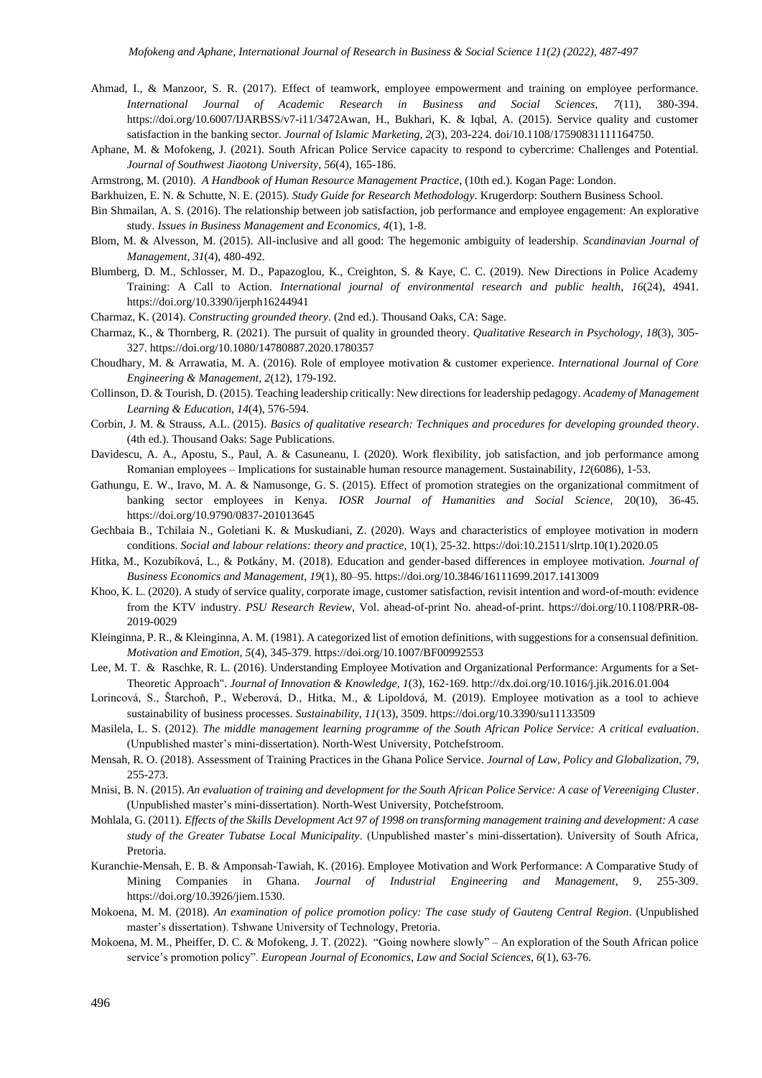- Ahmad, I., & Manzoor, S. R. (2017). Effect of teamwork, employee empowerment and training on employee performance. *International Journal of Academic Research in Business and Social Sciences*, *7*(11), 380-394. [https://doi.org/10.6007/IJARBSS/v7-i11/3472A](https://doi.org/10.6007/IJARBSS/v7-i11/3472)wan, H., Bukhari, K. & Iqbal, A. (2015). Service quality and customer satisfaction in the banking sector. *Journal of Islamic Marketing, 2*(3), 203-224. doi/10.1108/17590831111164750.
- Aphane, M. & Mofokeng, J. (2021). South African Police Service capacity to respond to cybercrime: Challenges and Potential. *Journal of Southwest Jiaotong University, 56*(4), 165-186.
- Armstrong, M. (2010). *A Handbook of Human Resource Management Practice,* (10th ed.). Kogan Page: London.
- Barkhuizen, E. N. & Schutte, N. E. (2015). *Study Guide for Research Methodology*. Krugerdorp: Southern Business School.
- Bin Shmailan, A. S. (2016). The relationship between job satisfaction, job performance and employee engagement: An explorative study. *Issues in Business Management and Economics, 4*(1), 1-8.
- Blom, M. & Alvesson, M. (2015). All-inclusive and all good: The hegemonic ambiguity of leadership. *Scandinavian Journal of Management*, *31*(4), 480-492.
- Blumberg, D. M., Schlosser, M. D., Papazoglou, K., Creighton, S. & Kaye, C. C. (2019). New Directions in Police Academy Training: A Call to Action. *International journal of environmental research and public health*, *16*(24), 4941. <https://doi.org/10.3390/ijerph16244941>
- Charmaz, K. (2014). *Constructing grounded theory*. (2nd ed.). Thousand Oaks, CA: Sage.
- Charmaz, K., & Thornberg, R. (2021). The pursuit of quality in grounded theory. *Qualitative Research in Psychology, 18*(3), 305- 327[. https://doi.org/10.1080/14780887.2020.1780357](https://psycnet.apa.org/doi/10.1080/14780887.2020.1780357)
- Choudhary, M. & Arrawatia, M. A. (2016). Role of employee motivation & customer experience. *International Journal of Core Engineering & Management, 2*(12), 179-192.
- Collinson, D. & Tourish, D. (2015). Teaching leadership critically: New directions for leadership pedagogy. *Academy of Management Learning & Education*, *14*(4), 576-594.
- Corbin, J. M. & Strauss, A.L. (2015). *Basics of qualitative research: Techniques and procedures for developing grounded theory*. (4th ed.). Thousand Oaks: Sage Publications.
- Davidescu, A. A., Apostu, S., Paul, A. & Casuneanu, I. (2020). Work flexibility, job satisfaction, and job performance among Romanian employees – Implications for sustainable human resource management. Sustainability, *12*(6086), 1-53.
- Gathungu, E. W., Iravo, M. A. & Namusonge, G. S. (2015). Effect of promotion strategies on the organizational commitment of banking sector employees in Kenya. *IOSR Journal of Humanities and Social Science*, 20(10), 36-45. https://doi.org/10.9790/0837-201013645
- Gechbaia B., Tchilaia N., Goletiani K. & Muskudiani, Z. (2020). Ways and characteristics of employee motivation in modern conditions. *Social and labour relations: theory and practice,* 10(1), 25-32. https://doi:10.21511/slrtp.10(1).2020.05
- Hitka, M., Kozubíková, L., & Potkány, M. (2018). Education and gender-based differences in employee motivation. *Journal of Business Economics and Management*, *19*(1), 80–95.<https://doi.org/10.3846/16111699.2017.1413009>
- Khoo, K. L. (2020). A study of service quality, corporate image, customer satisfaction, revisit intention and word-of-mouth: evidence from the KTV industry. *[PSU Research Review](file:///C:/Users/mofokengjt/AppData/Local/Microsoft/Windows/INetCache/Content.Outlook/PD0PCJVW/PSU%20Research%20Review)*, Vol. ahead-of-print No. ahead-of-print. https://doi.org/10.1108/PRR-08- 2019-0029
- Kleinginna, P. R., & Kleinginna, A. M. (1981). A categorized list of emotion definitions, with suggestions for a consensual definition. *Motivation and Emotion, 5*(4), 345-379[. https://doi.org/10.1007/BF00992553](https://doi.org/10.1007/BF00992553)
- Lee, M. T. & Raschke, R. L. (2016). Understanding Employee Motivation and Organizational Performance: Arguments for a Set-Theoretic Approach". *Journal of Innovation & Knowledge, 1*(3), 162-169[. http://dx.doi.org/10.1016/j.jik.2016.01.004](http://dx.doi.org/10.1016/j.jik.2016.01.004)
- Lorincová, S., Štarchoň, P., Weberová, D., Hitka, M., & Lipoldová, M. (2019). Employee motivation as a tool to achieve sustainability of business processes. *Sustainability*, *11*(13), 3509.<https://doi.org/10.3390/su11133509>
- Masilela, L. S. (2012). *The middle management learning programme of the South African Police Service: A critical evaluation*. (Unpublished master's mini-dissertation). North-West University, Potchefstroom.
- Mensah, R. O. (2018). Assessment of Training Practices in the Ghana Police Service. *Journal of Law, Policy and Globalization*, *79*, 255-273.
- Mnisi, B. N. (2015). *An evaluation of training and development for the South African Police Service: A case of Vereeniging Cluster*. (Unpublished master's mini-dissertation). North-West University, Potchefstroom.
- Mohlala, G. (2011). *Effects of the Skills Development Act 97 of 1998 on transforming management training and development: A case study of the Greater Tubatse Local Municipality*. (Unpublished master's mini-dissertation). University of South Africa, Pretoria.
- Kuranchie-Mensah, E. B. & Amponsah-Tawiah, K. (2016). Employee Motivation and Work Performance: A Comparative Study of Mining Companies in Ghana. *Journal of Industrial Engineering and Management*, 9*,* 255-309. [https://doi.org/10.3926/jiem.1530.](https://doi.org/10.3926/jiem.1530)
- Mokoena, M. M. (2018). *An examination of police promotion policy: The case study of Gauteng Central Region*. (Unpublished master's dissertation). Tshwane University of Technology, Pretoria.
- Mokoena, M. M., Pheiffer, D. C. & Mofokeng, J. T. (2022). "Going nowhere slowly" An exploration of the South African police service's promotion policy". *European Journal of Economics, Law and Social Sciences*, *6*(1), 63-76.